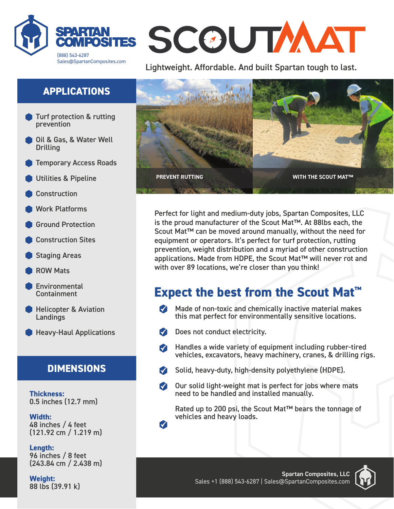

# SCOUTAAT

Lightweight. Affordable. And built Spartan tough to last.

## **APPLICATIONS**

- Turf protection & rutting prevention
- Oil & Gas, & Water Well **Drilling**
- Temporary Access Roads
- Utilities & Pipeline
- **Construction**
- Work Platforms
- Ground Protection
- Construction Sites
- Staging Areas
- ROW Mats
- **Environmental** Containment
- **Helicopter & Aviation Landings**
- **Heavy-Haul Applications**

## **DIMENSIONS**

**Thickness:** 0.5 inches (12.7 mm)

**Width:** 48 inches / 4 feet (121.92 cm / 1.219 m)

**Length:** 96 inches / 8 feet (243.84 cm / 2.438 m)

**Weight:** 88 lbs (39.91 k)



Perfect for light and medium-duty jobs, Spartan Composites, LLC is the proud manufacturer of the Scout Mat™. At 88lbs each, the Scout Mat™ can be moved around manually, without the need for equipment or operators. It's perfect for turf protection, rutting prevention, weight distribution and a myriad of other construction applications. Made from HDPE, the Scout Mat™ will never rot and with over 89 locations, we're closer than you think!

# **Expect the best from the Scout Mat™**

- $\blacksquare$  Made of non-toxic and chemically inactive material makes this mat perfect for environmentally sensitive locations.
- Does not conduct electricity.
- Handles a wide variety of equipment including rubber-tired  $\blacksquare$ vehicles, excavators, heavy machinery, cranes, & drilling rigs.
- Solid, heavy-duty, high-density polyethylene (HDPE).
- M Our solid light-weight mat is perfect for jobs where mats need to be handled and installed manually.

Rated up to 200 psi, the Scout Mat™ bears the tonnage of vehicles and heavy loads.

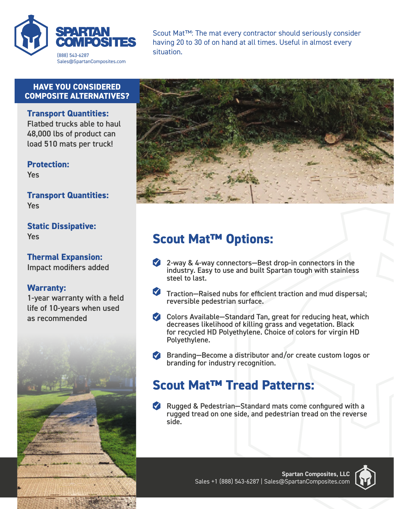

Scout Mat™: The mat every contractor should seriously consider having 20 to 30 of on hand at all times. Useful in almost every situation.

#### **HAVE YOU CONSIDERED COMPOSITE ALTERNATIVES?**

**Transport Quantities:** Flatbed trucks able to haul 48,000 lbs of product can load 510 mats per truck!

**Protection:** Yes

**Transport Quantities:** Yes

**Static Dissipative:** Yes

**Thermal Expansion:** Impact modifiers added

#### **Warranty:**

1-year warranty with a field life of 10-years when used as recommended





## **Scout Mat™ Options:**

- 2-way & 4-way connectors—Best drop-in connectors in the industry. Easy to use and built Spartan tough with stainless steel to last.
- Traction—Raised nubs for efficient traction and mud dispersal; reversible pedestrian surface.
- Colors Available—Standard Tan, great for reducing heat, which decreases likelihood of killing grass and vegetation. Black for recycled HD Polyethylene. Choice of colors for virgin HD Polyethylene.
- **Branding–Become a distributor and/or create custom logos or** branding for industry recognition.

## **Scout Mat™ Tread Patterns:**

Rugged & Pedestrian–Standard mats come configured with a rugged tread on one side, and pedestrian tread on the reverse side.

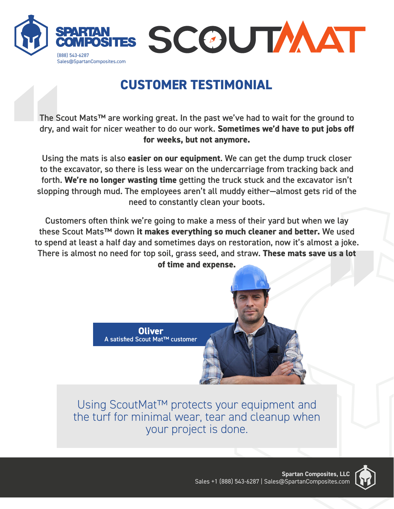

# **CUSTOMER TESTIMONIAL**

The Scout Mats™ are working great. In the past we've had to wait for the ground to dry, and wait for nicer weather to do our work. **Sometimes we'd have to put jobs off for weeks, but not anymore.**

The Sc<br>dry, ar<br>Using<br>to the<br>forth.<br>sloppir Using the mats is also **easier on our equipment**. We can get the dump truck closer to the excavator, so there is less wear on the undercarriage from tracking back and forth. **We're no longer wasting time** getting the truck stuck and the excavator isn't slopping through mud. The employees aren't all muddy either—almost gets rid of the need to constantly clean your boots.

**c** of the<br>**e** lay<br>**e** used<br>**c** a joke.<br>**s** a lot Customers often think we're going to make a mess of their yard but when we lay these Scout Mats™ down **it makes everything so much cleaner and better.** We used to spend at least a half day and sometimes days on restoration, now it's almost a joke. There is almost no need for top soil, grass seed, and straw. **These mats save us a lot of time and expense.**



Using ScoutMat™ protects your equipment and the turf for minimal wear, tear and cleanup when your project is done.